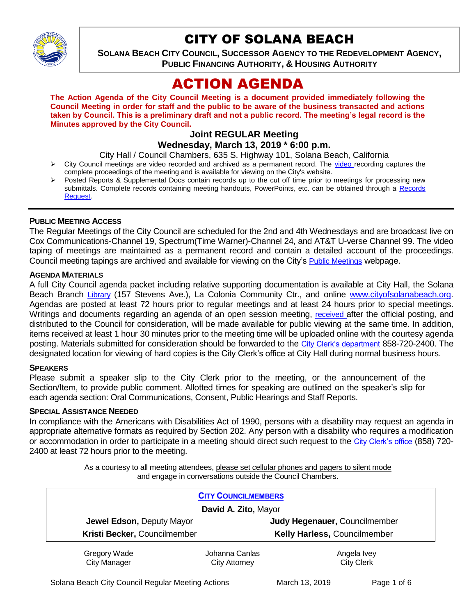

# CITY OF SOLANA BEACH

**SOLANA BEACH CITY COUNCIL, SUCCESSOR AGENCY TO THE REDEVELOPMENT AGENCY, PUBLIC FINANCING AUTHORITY, & HOUSING AUTHORITY** 

# ACTION AGENDA

**The Action Agenda of the City Council Meeting is a document provided immediately following the Council Meeting in order for staff and the public to be aware of the business transacted and actions taken by Council. This is a preliminary draft and not a public record. The meeting's legal record is the Minutes approved by the City Council.**

## **Joint REGULAR Meeting Wednesday, March 13, 2019 \* 6:00 p.m.**

City Hall / Council Chambers, 635 S. Highway 101, Solana Beach, California

- $\triangleright$  City Council meetings are [video r](https://solanabeach.12milesout.com/#page=1)ecorded and archived as a permanent record. The video recording captures the complete proceedings of the meeting and is available for viewing on the City's website.
- Posted Reports & Supplemental Docs contain records up to the cut off time prior to meetings for processing new submittals. Complete records containing meeting handouts, PowerPoints, etc. can be obtained through a Records [Request.](http://www.ci.solana-beach.ca.us/index.asp?SEC=F5D45D10-70CE-4291-A27C-7BD633FC6742&Type=B_BASIC)

## **PUBLIC MEETING ACCESS**

The Regular Meetings of the City Council are scheduled for the 2nd and 4th Wednesdays and are broadcast live on Cox Communications-Channel 19, Spectrum(Time Warner)-Channel 24, and AT&T U-verse Channel 99. The video taping of meetings are maintained as a permanent record and contain a detailed account of the proceedings. Council meeting tapings are archived and available for viewing on the City's [Public Meetings](https://www.ci.solana-beach.ca.us/index.asp?SEC=F0F1200D-21C6-4A88-8AE1-0BC07C1A81A7&Type=B_BASIC) webpage.

## **AGENDA MATERIALS**

A full City Council agenda packet including relative supporting documentation is available at City Hall, the Solana Beach Branch [Library](http://www.sdcl.org/locations_SB.html) (157 Stevens Ave.), La Colonia Community Ctr., and online [www.cityofsolanabeach.org.](http://www.cityofsolanabeach.org/) Agendas are posted at least 72 hours prior to regular meetings and at least 24 hours prior to special meetings. Writings and documents regarding an agenda of an open session meeting, [received](mailto:EMAILGRP-CityClerksOfc@cosb.org) after the official posting, and distributed to the Council for consideration, will be made available for public viewing at the same time. In addition, items received at least 1 hour 30 minutes prior to the meeting time will be uploaded online with the courtesy agenda posting. Materials submitted for consideration should be forwarded to the [City Clerk's department](mailto:EMAILGRP-CityClerksOfc@cosb.org) 858-720-2400. The designated location for viewing of hard copies is the City Clerk's office at City Hall during normal business hours.

## **SPEAKERS**

Please submit a speaker slip to the City Clerk prior to the meeting, or the announcement of the Section/Item, to provide public comment. Allotted times for speaking are outlined on the speaker's slip for each agenda section: Oral Communications, Consent, Public Hearings and Staff Reports.

#### **SPECIAL ASSISTANCE NEEDED**

In compliance with the Americans with Disabilities Act of 1990, persons with a disability may request an agenda in appropriate alternative formats as required by Section 202. Any person with a disability who requires a modification or accommodation in order to participate in a meeting should direct such request to the [City Clerk's office](mailto:clerkadmin@cosb.org?subject=City%20Clerk%20Notice%20of%20Special%20Services%20Needed) (858) 720- 2400 at least 72 hours prior to the meeting.

> As a courtesy to all meeting attendees, please set cellular phones and pagers to silent mode and engage in conversations outside the Council Chambers.

| <b>CITY COUNCILMEMBERS</b>          |                                 |                                  |
|-------------------------------------|---------------------------------|----------------------------------|
| David A. Zito, Mayor                |                                 |                                  |
| Jewel Edson, Deputy Mayor           |                                 | Judy Hegenauer, Councilmember    |
| Kristi Becker, Councilmember        |                                 | Kelly Harless, Councilmember     |
| Gregory Wade<br><b>City Manager</b> | Johanna Canlas<br>City Attorney | Angela Ivey<br><b>City Clerk</b> |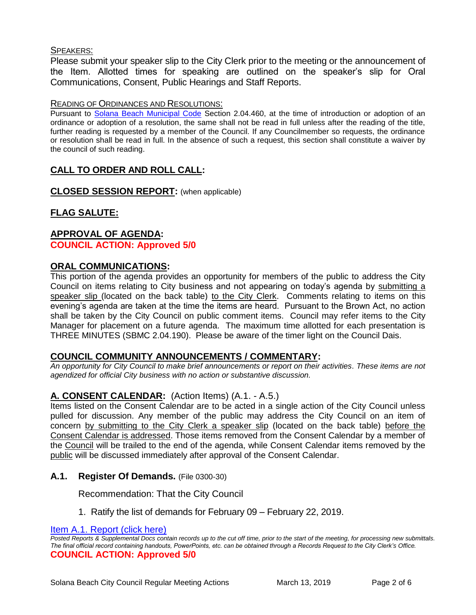## SPEAKERS:

Please submit your speaker slip to the City Clerk prior to the meeting or the announcement of the Item. Allotted times for speaking are outlined on the speaker's slip for Oral Communications, Consent, Public Hearings and Staff Reports.

## READING OF ORDINANCES AND RESOLUTIONS:

Pursuant to [Solana Beach Municipal Code](mailto:https://www.codepublishing.com/CA/SolanaBeach/) Section 2.04.460, at the time of introduction or adoption of an ordinance or adoption of a resolution, the same shall not be read in full unless after the reading of the title, further reading is requested by a member of the Council. If any Councilmember so requests, the ordinance or resolution shall be read in full. In the absence of such a request, this section shall constitute a waiver by the council of such reading.

# **CALL TO ORDER AND ROLL CALL:**

**CLOSED SESSION REPORT:** (when applicable)

# **FLAG SALUTE:**

## **APPROVAL OF AGENDA: COUNCIL ACTION: Approved 5/0**

## **ORAL COMMUNICATIONS:**

This portion of the agenda provides an opportunity for members of the public to address the City Council on items relating to City business and not appearing on today's agenda by submitting a speaker slip (located on the back table) to the City Clerk. Comments relating to items on this evening's agenda are taken at the time the items are heard. Pursuant to the Brown Act, no action shall be taken by the City Council on public comment items. Council may refer items to the City Manager for placement on a future agenda. The maximum time allotted for each presentation is THREE MINUTES (SBMC 2.04.190). Please be aware of the timer light on the Council Dais.

## **COUNCIL COMMUNITY ANNOUNCEMENTS / COMMENTARY:**

*An opportunity for City Council to make brief announcements or report on their activities. These items are not agendized for official City business with no action or substantive discussion.* 

# **A. CONSENT CALENDAR:** (Action Items) (A.1. - A.5.)

Items listed on the Consent Calendar are to be acted in a single action of the City Council unless pulled for discussion. Any member of the public may address the City Council on an item of concern by submitting to the City Clerk a speaker slip (located on the back table) before the Consent Calendar is addressed. Those items removed from the Consent Calendar by a member of the Council will be trailed to the end of the agenda, while Consent Calendar items removed by the public will be discussed immediately after approval of the Consent Calendar.

## **A.1. Register Of Demands.** (File 0300-30)

Recommendation: That the City Council

1. Ratify the list of demands for February 09 – February 22, 2019.

[Item A.1. Report \(click here\)](https://solanabeach.govoffice3.com/vertical/Sites/%7B840804C2-F869-4904-9AE3-720581350CE7%7D/uploads/Item_A.1._Report_(click_here)_03-13-19.PDF) 

*Posted Reports & Supplemental Docs contain records up to the cut off time, prior to the start of the meeting, for processing new submittals. The final official record containing handouts, PowerPoints, etc. can be obtained through a Records Request to the City Clerk's Office.* **COUNCIL ACTION: Approved 5/0**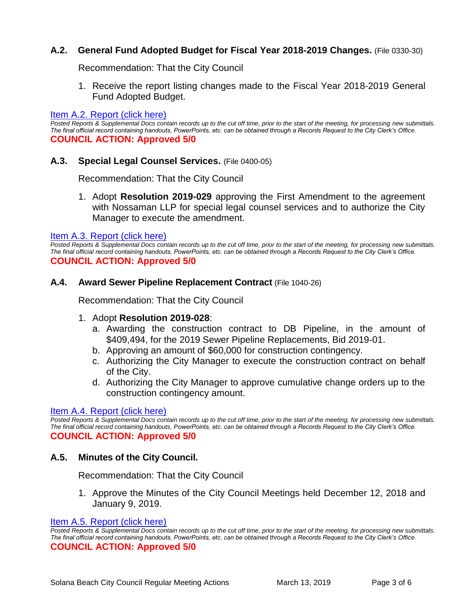# **A.2. General Fund Adopted Budget for Fiscal Year 2018-2019 Changes.** (File 0330-30)

Recommendation: That the City Council

1. Receive the report listing changes made to the Fiscal Year 2018-2019 General Fund Adopted Budget.

#### [Item A.2. Report \(click here\)](https://solanabeach.govoffice3.com/vertical/Sites/%7B840804C2-F869-4904-9AE3-720581350CE7%7D/uploads/Item_A.2._Report_(click_here)_03-13-19.pdf)

*Posted Reports & Supplemental Docs contain records up to the cut off time, prior to the start of the meeting, for processing new submittals. The final official record containing handouts, PowerPoints, etc. can be obtained through a Records Request to the City Clerk's Office.* **COUNCIL ACTION: Approved 5/0**

## **A.3. Special Legal Counsel Services.** (File 0400-05)

Recommendation: That the City Council

1. Adopt **Resolution 2019-029** approving the First Amendment to the agreement with Nossaman LLP for special legal counsel services and to authorize the City Manager to execute the amendment.

#### [Item A.3. Report \(click here\)](https://solanabeach.govoffice3.com/vertical/Sites/%7B840804C2-F869-4904-9AE3-720581350CE7%7D/uploads/Item_A.3._Report_(click_here)_03-13-19.PDF)

*Posted Reports & Supplemental Docs contain records up to the cut off time, prior to the start of the meeting, for processing new submittals. The final official record containing handouts, PowerPoints, etc. can be obtained through a Records Request to the City Clerk's Office.* **COUNCIL ACTION: Approved 5/0**

#### **A.4. Award Sewer Pipeline Replacement Contract** (File 1040-26)

Recommendation: That the City Council

## 1. Adopt **Resolution 2019-028**:

- a. Awarding the construction contract to DB Pipeline, in the amount of \$409,494, for the 2019 Sewer Pipeline Replacements, Bid 2019-01.
- b. Approving an amount of \$60,000 for construction contingency.
- c. Authorizing the City Manager to execute the construction contract on behalf of the City.
- d. Authorizing the City Manager to approve cumulative change orders up to the construction contingency amount.

#### [Item A.4. Report \(click here\)](https://solanabeach.govoffice3.com/vertical/Sites/%7B840804C2-F869-4904-9AE3-720581350CE7%7D/uploads/Item_A.4._Report_(click_here)_03-13-19.PDF)

*Posted Reports & Supplemental Docs contain records up to the cut off time, prior to the start of the meeting, for processing new submittals. The final official record containing handouts, PowerPoints, etc. can be obtained through a Records Request to the City Clerk's Office.* **COUNCIL ACTION: Approved 5/0**

## **A.5. Minutes of the City Council.**

Recommendation: That the City Council

1. Approve the Minutes of the City Council Meetings held December 12, 2018 and January 9, 2019.

#### [Item A.5. Report \(click here\)](https://solanabeach.govoffice3.com/vertical/Sites/%7B840804C2-F869-4904-9AE3-720581350CE7%7D/uploads/Item_A.5._Report_(click_here)_03-13-19.pdf)

*Posted Reports & Supplemental Docs contain records up to the cut off time, prior to the start of the meeting, for processing new submittals. The final official record containing handouts, PowerPoints, etc. can be obtained through a Records Request to the City Clerk's Office.* **COUNCIL ACTION: Approved 5/0**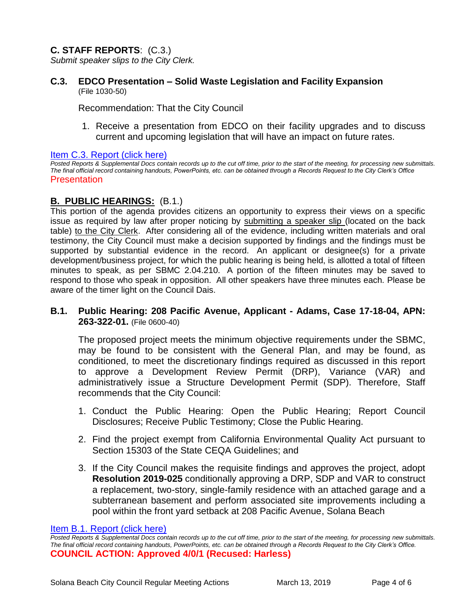# **C. STAFF REPORTS**: (C.3.)

*Submit speaker slips to the City Clerk.*

**C.3. EDCO Presentation – Solid Waste Legislation and Facility Expansion**  (File 1030-50)

Recommendation: That the City Council

1. Receive a presentation from EDCO on their facility upgrades and to discuss current and upcoming legislation that will have an impact on future rates.

#### [Item C.3. Report \(click here\)](https://solanabeach.govoffice3.com/vertical/Sites/%7B840804C2-F869-4904-9AE3-720581350CE7%7D/uploads/Item_C.3._Report_(click_here)_03-13-19.pdf)

*Posted Reports & Supplemental Docs contain records up to the cut off time, prior to the start of the meeting, for processing new submittals. The final official record containing handouts, PowerPoints, etc. can be obtained through a Records Request to the City Clerk's Office*  Presentation

# **B. PUBLIC HEARINGS:** (B.1.)

This portion of the agenda provides citizens an opportunity to express their views on a specific issue as required by law after proper noticing by submitting a speaker slip (located on the back table) to the City Clerk. After considering all of the evidence, including written materials and oral testimony, the City Council must make a decision supported by findings and the findings must be supported by substantial evidence in the record. An applicant or designee(s) for a private development/business project, for which the public hearing is being held, is allotted a total of fifteen minutes to speak, as per SBMC 2.04.210. A portion of the fifteen minutes may be saved to respond to those who speak in opposition. All other speakers have three minutes each. Please be aware of the timer light on the Council Dais.

**B.1. Public Hearing: 208 Pacific Avenue, Applicant - Adams, Case 17-18-04, APN: 263-322-01.** (File 0600-40)

The proposed project meets the minimum objective requirements under the SBMC, may be found to be consistent with the General Plan, and may be found, as conditioned, to meet the discretionary findings required as discussed in this report to approve a Development Review Permit (DRP), Variance (VAR) and administratively issue a Structure Development Permit (SDP). Therefore, Staff recommends that the City Council:

- 1. Conduct the Public Hearing: Open the Public Hearing; Report Council Disclosures; Receive Public Testimony; Close the Public Hearing.
- 2. Find the project exempt from California Environmental Quality Act pursuant to Section 15303 of the State CEQA Guidelines; and
- 3. If the City Council makes the requisite findings and approves the project, adopt **Resolution 2019-025** conditionally approving a DRP, SDP and VAR to construct a replacement, two-story, single-family residence with an attached garage and a subterranean basement and perform associated site improvements including a pool within the front yard setback at 208 Pacific Avenue, Solana Beach

Item B.1. Report (click here)

*Posted Reports & Supplemental Docs contain records up to the cut off time, prior to the start of the meeting, for processing new submittals. The final official record containing handouts, PowerPoints, etc. can be obtained through a Records Request to the City Clerk's Office.* **COUNCIL ACTION: Approved 4/0/1 (Recused: Harless)**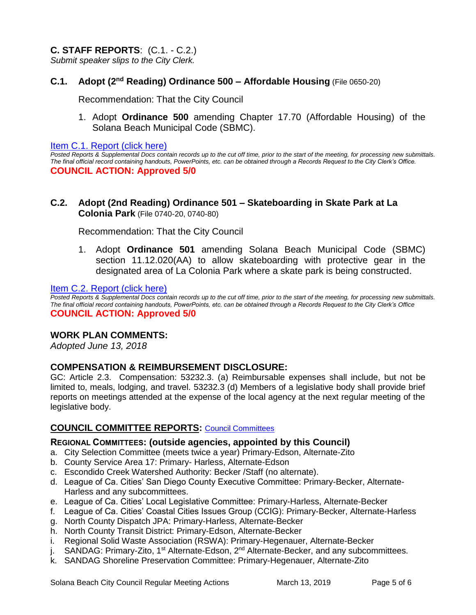# **C. STAFF REPORTS**: (C.1. - C.2.)

*Submit speaker slips to the City Clerk.*

## **C.1.** Adopt (2<sup>nd</sup> Reading) Ordinance 500 – Affordable Housing (File 0650-20)

Recommendation: That the City Council

1. Adopt **Ordinance 500** amending Chapter 17.70 (Affordable Housing) of the Solana Beach Municipal Code (SBMC).

[Item C.1. Report \(click here\)](https://solanabeach.govoffice3.com/vertical/Sites/%7B840804C2-F869-4904-9AE3-720581350CE7%7D/uploads/Item_C.1._Report_(click_here)_03-13-19.PDF) 

*Posted Reports & Supplemental Docs contain records up to the cut off time, prior to the start of the meeting, for processing new submittals. The final official record containing handouts, PowerPoints, etc. can be obtained through a Records Request to the City Clerk's Office.* **COUNCIL ACTION: Approved 5/0**

**C.2. Adopt (2nd Reading) Ordinance 501 – Skateboarding in Skate Park at La Colonia Park** (File 0740-20, 0740-80)

Recommendation: That the City Council

1. Adopt **Ordinance 501** amending Solana Beach Municipal Code (SBMC) section 11.12.020(AA) to allow skateboarding with protective gear in the designated area of La Colonia Park where a skate park is being constructed.

#### [Item C.2. Report \(click here\)](https://solanabeach.govoffice3.com/vertical/Sites/%7B840804C2-F869-4904-9AE3-720581350CE7%7D/uploads/Item_C.2._Report_(click_here)_03-13-19.PDF)

*Posted Reports & Supplemental Docs contain records up to the cut off time, prior to the start of the meeting, for processing new submittals. The final official record containing handouts, PowerPoints, etc. can be obtained through a Records Request to the City Clerk's Office*  **COUNCIL ACTION: Approved 5/0**

## **WORK PLAN COMMENTS:**

*Adopted June 13, 2018*

## **COMPENSATION & REIMBURSEMENT DISCLOSURE:**

GC: Article 2.3. Compensation: 53232.3. (a) Reimbursable expenses shall include, but not be limited to, meals, lodging, and travel. 53232.3 (d) Members of a legislative body shall provide brief reports on meetings attended at the expense of the local agency at the next regular meeting of the legislative body.

## **COUNCIL COMMITTEE REPORTS:** [Council Committees](https://www.ci.solana-beach.ca.us/index.asp?SEC=584E1192-3850-46EA-B977-088AC3E81E0D&Type=B_BASIC)

## **REGIONAL COMMITTEES: (outside agencies, appointed by this Council)**

- a. City Selection Committee (meets twice a year) Primary-Edson, Alternate-Zito
- b. County Service Area 17: Primary- Harless, Alternate-Edson
- c. Escondido Creek Watershed Authority: Becker /Staff (no alternate).
- d. League of Ca. Cities' San Diego County Executive Committee: Primary-Becker, Alternate-Harless and any subcommittees.
- e. League of Ca. Cities' Local Legislative Committee: Primary-Harless, Alternate-Becker
- f. League of Ca. Cities' Coastal Cities Issues Group (CCIG): Primary-Becker, Alternate-Harless
- g. North County Dispatch JPA: Primary-Harless, Alternate-Becker
- h. North County Transit District: Primary-Edson, Alternate-Becker
- i. Regional Solid Waste Association (RSWA): Primary-Hegenauer, Alternate-Becker
- j. SANDAG: Primary-Zito, 1<sup>st</sup> Alternate-Edson, 2<sup>nd</sup> Alternate-Becker, and any subcommittees.
- k. SANDAG Shoreline Preservation Committee: Primary-Hegenauer, Alternate-Zito